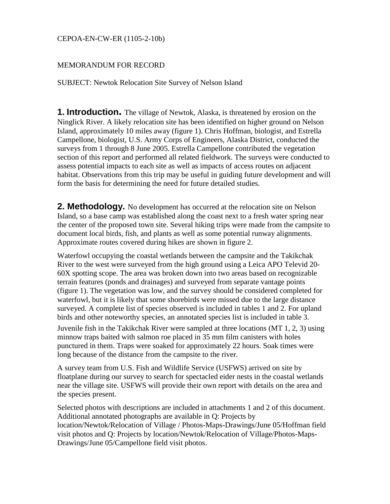#### CEPOA-EN-CW-ER (1105-2-10b)

#### MEMORANDUM FOR RECORD

SUBJECT: Newtok Relocation Site Survey of Nelson Island

**1. Introduction.** The village of Newtok, Alaska, is threatened by erosion on the Ninglick River. A likely relocation site has been identified on higher ground on Nelson Island, approximately 10 miles away (figure 1). Chris Hoffman, biologist, and Estrella Campellone, biologist, U.S. Army Corps of Engineers, Alaska District, conducted the surveys from 1 through 8 June 2005. Estrella Campellone contributed the vegetation section of this report and performed all related fieldwork. The surveys were conducted to assess potential impacts to each site as well as impacts of access routes on adjacent habitat. Observations from this trip may be useful in guiding future development and will form the basis for determining the need for future detailed studies.

**2. Methodology.** No development has occurred at the relocation site on Nelson Island, so a base camp was established along the coast next to a fresh water spring near the center of the proposed town site. Several hiking trips were made from the campsite to document local birds, fish, and plants as well as some potential runway alignments. Approximate routes covered during hikes are shown in figure 2.

Waterfowl occupying the coastal wetlands between the campsite and the Takikchak River to the west were surveyed from the high ground using a Leica APO Televid 20- 60X spotting scope. The area was broken down into two areas based on recognizable terrain features (ponds and drainages) and surveyed from separate vantage points (figure 1). The vegetation was low, and the survey should be considered completed for waterfowl, but it is likely that some shorebirds were missed due to the large distance surveyed. A complete list of species observed is included in tables 1 and 2. For upland birds and other noteworthy species, an annotated species list is included in table 3.

Juvenile fish in the Takikchak River were sampled at three locations (MT 1, 2, 3) using minnow traps baited with salmon roe placed in 35 mm film canisters with holes punctured in them. Traps were soaked for approximately 22 hours. Soak times were long because of the distance from the campsite to the river.

A survey team from U.S. Fish and Wildlife Service (USFWS) arrived on site by floatplane during our survey to search for spectacled eider nests in the coastal wetlands near the village site. USFWS will provide their own report with details on the area and the species present.

Selected photos with descriptions are included in attachments 1 and 2 of this document. Additional annotated photographs are available in Q: Projects by location/Newtok/Relocation of Village / Photos-Maps-Drawings/June 05/Hoffman field visit photos and Q: Projects by location/Newtok/Relocation of Village/Photos-Maps-Drawings/June 05/Campellone field visit photos.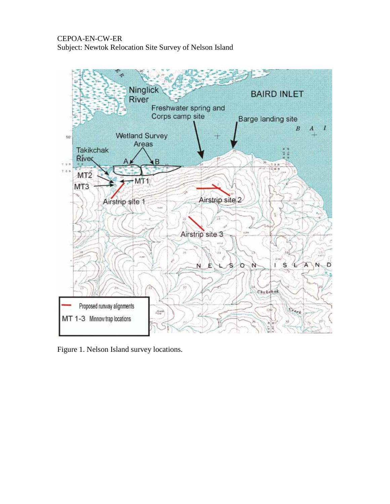

Figure 1. Nelson Island survey locations.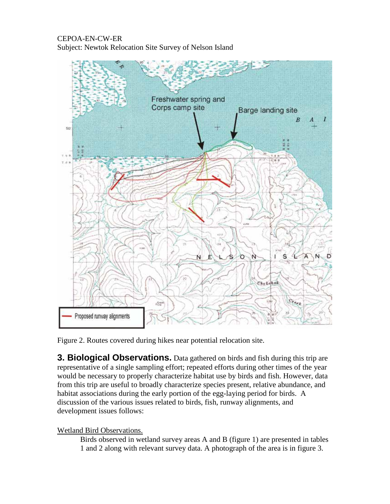

Figure 2. Routes covered during hikes near potential relocation site.

**3. Biological Observations.** Data gathered on birds and fish during this trip are representative of a single sampling effort; repeated efforts during other times of the year would be necessary to properly characterize habitat use by birds and fish. However, data from this trip are useful to broadly characterize species present, relative abundance, and habitat associations during the early portion of the egg-laying period for birds. A discussion of the various issues related to birds, fish, runway alignments, and development issues follows:

## Wetland Bird Observations.

Birds observed in wetland survey areas A and B (figure 1) are presented in tables 1 and 2 along with relevant survey data. A photograph of the area is in figure 3.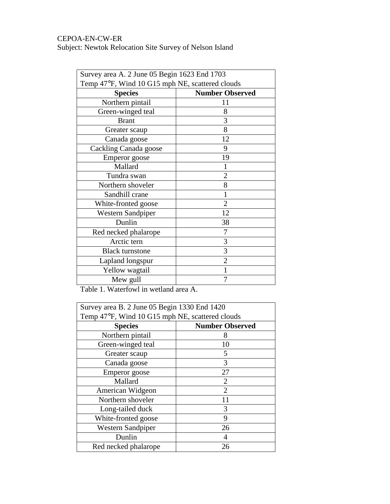| Survey area A. 2 June 05 Begin 1623 End 1703    |                        |  |
|-------------------------------------------------|------------------------|--|
| Temp 47°F, Wind 10 G15 mph NE, scattered clouds |                        |  |
| <b>Species</b>                                  | <b>Number Observed</b> |  |
| Northern pintail                                | 11                     |  |
| Green-winged teal                               | 8                      |  |
| <b>Brant</b>                                    | 3                      |  |
| Greater scaup                                   | 8                      |  |
| Canada goose                                    | 12                     |  |
| Cackling Canada goose                           | 9                      |  |
| Emperor goose                                   | 19                     |  |
| Mallard                                         |                        |  |
| Tundra swan                                     | 2                      |  |
| Northern shoveler                               | 8                      |  |
| Sandhill crane                                  |                        |  |
| White-fronted goose                             | $\overline{2}$         |  |
| <b>Western Sandpiper</b>                        | 12                     |  |
| Dunlin                                          | 38                     |  |
| Red necked phalarope                            | 7                      |  |
| Arctic tern                                     | 3                      |  |
| <b>Black turnstone</b>                          | 3                      |  |
| Lapland longspur                                | $\overline{2}$         |  |
| Yellow wagtail                                  |                        |  |
| Mew gull                                        |                        |  |

Table 1. Waterfowl in wetland area A.

| Survey area B. 2 June 05 Begin 1330 End 1420    |                             |  |
|-------------------------------------------------|-----------------------------|--|
| Temp 47°F, Wind 10 G15 mph NE, scattered clouds |                             |  |
| <b>Species</b>                                  | <b>Number Observed</b>      |  |
| Northern pintail                                | 8                           |  |
| Green-winged teal                               | 10                          |  |
| Greater scaup                                   | 5                           |  |
| Canada goose                                    | 3                           |  |
| Emperor goose                                   | 27                          |  |
| Mallard                                         | $\mathcal{D}_{\mathcal{L}}$ |  |
| American Widgeon                                | $\overline{2}$              |  |
| Northern shoveler                               | 11                          |  |
| Long-tailed duck                                | 3                           |  |
| White-fronted goose                             | 9                           |  |
| <b>Western Sandpiper</b>                        | 26                          |  |
| Dunlin                                          |                             |  |
| Red necked phalarope                            | 26                          |  |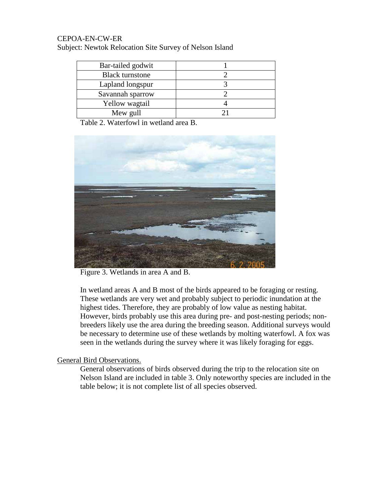| Bar-tailed godwit      |  |
|------------------------|--|
| <b>Black turnstone</b> |  |
| Lapland longspur       |  |
| Savannah sparrow       |  |
| Yellow wagtail         |  |
| Mew gull               |  |

Table 2. Waterfowl in wetland area B.



Figure 3. Wetlands in area A and B.

In wetland areas A and B most of the birds appeared to be foraging or resting. These wetlands are very wet and probably subject to periodic inundation at the highest tides. Therefore, they are probably of low value as nesting habitat. However, birds probably use this area during pre- and post-nesting periods; nonbreeders likely use the area during the breeding season. Additional surveys would be necessary to determine use of these wetlands by molting waterfowl. A fox was seen in the wetlands during the survey where it was likely foraging for eggs.

## General Bird Observations.

General observations of birds observed during the trip to the relocation site on Nelson Island are included in table 3. Only noteworthy species are included in the table below; it is not complete list of all species observed.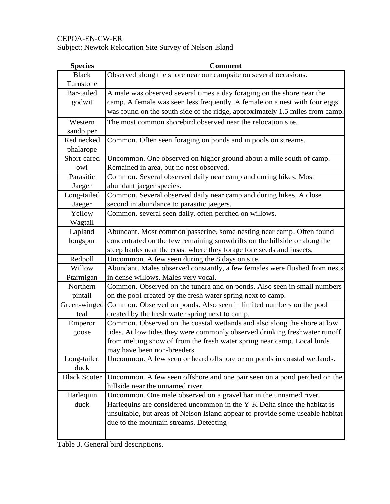Subject: Newtok Relocation Site Survey of Nelson Island

| <b>Species</b>      | <b>Comment</b>                                                                |
|---------------------|-------------------------------------------------------------------------------|
| <b>Black</b>        | Observed along the shore near our campsite on several occasions.              |
| Turnstone           |                                                                               |
| Bar-tailed          | A male was observed several times a day foraging on the shore near the        |
| godwit              | camp. A female was seen less frequently. A female on a nest with four eggs    |
|                     | was found on the south side of the ridge, approximately 1.5 miles from camp.  |
| Western             | The most common shorebird observed near the relocation site.                  |
| sandpiper           |                                                                               |
| Red necked          | Common. Often seen foraging on ponds and in pools on streams.                 |
| phalarope           |                                                                               |
| Short-eared         | Uncommon. One observed on higher ground about a mile south of camp.           |
| owl                 | Remained in area, but no nest observed.                                       |
| Parasitic           | Common. Several observed daily near camp and during hikes. Most               |
| Jaeger              | abundant jaeger species.                                                      |
| Long-tailed         | Common. Several observed daily near camp and during hikes. A close            |
| Jaeger              | second in abundance to parasitic jaegers.                                     |
| Yellow              | Common. several seen daily, often perched on willows.                         |
| Wagtail             |                                                                               |
| Lapland             | Abundant. Most common passerine, some nesting near camp. Often found          |
| longspur            | concentrated on the few remaining snowdrifts on the hillside or along the     |
|                     | steep banks near the coast where they forage fore seeds and insects.          |
| Redpoll             | Uncommon. A few seen during the 8 days on site.                               |
| Willow              | Abundant. Males observed constantly, a few females were flushed from nests    |
| Ptarmigan           | in dense willows. Males very vocal.                                           |
| Northern            | Common. Observed on the tundra and on ponds. Also seen in small numbers       |
| pintail             | on the pool created by the fresh water spring next to camp.                   |
| Green-winged        | Common. Observed on ponds. Also seen in limited numbers on the pool           |
| teal                | created by the fresh water spring next to camp.                               |
| Emperor             | Common. Observed on the coastal wetlands and also along the shore at low      |
| goose               | tides. At low tides they were commonly observed drinking freshwater runoff    |
|                     | from melting snow of from the fresh water spring near camp. Local birds       |
|                     | may have been non-breeders.                                                   |
| Long-tailed         | Uncommon. A few seen or heard offshore or on ponds in coastal wetlands.       |
| duck                |                                                                               |
| <b>Black Scoter</b> | Uncommon. A few seen offshore and one pair seen on a pond perched on the      |
|                     | hillside near the unnamed river.                                              |
| Harlequin           | Uncommon. One male observed on a gravel bar in the unnamed river.             |
| duck                | Harlequins are considered uncommon in the Y-K Delta since the habitat is      |
|                     | unsuitable, but areas of Nelson Island appear to provide some useable habitat |
|                     | due to the mountain streams. Detecting                                        |
|                     |                                                                               |

Table 3. General bird descriptions.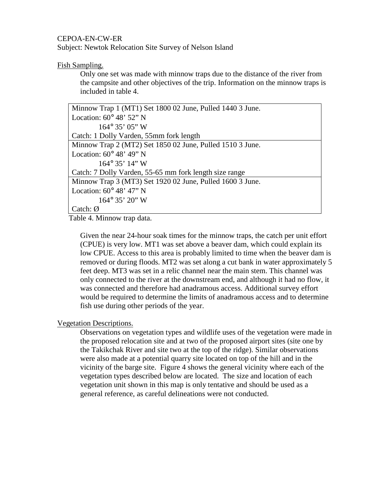Subject: Newtok Relocation Site Survey of Nelson Island

#### Fish Sampling.

Only one set was made with minnow traps due to the distance of the river from the campsite and other objectives of the trip. Information on the minnow traps is included in table 4.

Table 4. Minnow trap data.

Given the near 24-hour soak times for the minnow traps, the catch per unit effort (CPUE) is very low. MT1 was set above a beaver dam, which could explain its low CPUE. Access to this area is probably limited to time when the beaver dam is removed or during floods. MT2 was set along a cut bank in water approximately 5 feet deep. MT3 was set in a relic channel near the main stem. This channel was only connected to the river at the downstream end, and although it had no flow, it was connected and therefore had anadramous access. Additional survey effort would be required to determine the limits of anadramous access and to determine fish use during other periods of the year.

#### Vegetation Descriptions.

Observations on vegetation types and wildlife uses of the vegetation were made in the proposed relocation site and at two of the proposed airport sites (site one by the Takikchak River and site two at the top of the ridge). Similar observations were also made at a potential quarry site located on top of the hill and in the vicinity of the barge site. Figure 4 shows the general vicinity where each of the vegetation types described below are located. The size and location of each vegetation unit shown in this map is only tentative and should be used as a general reference, as careful delineations were not conducted.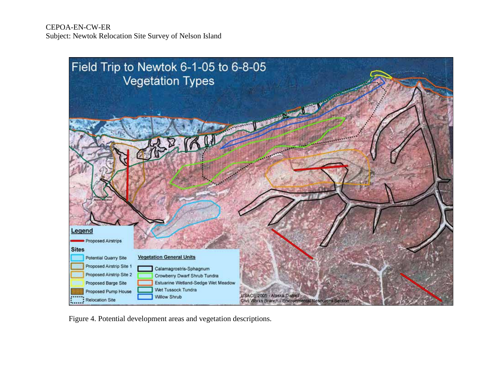

Figure 4. Potential development areas and vegetation descriptions.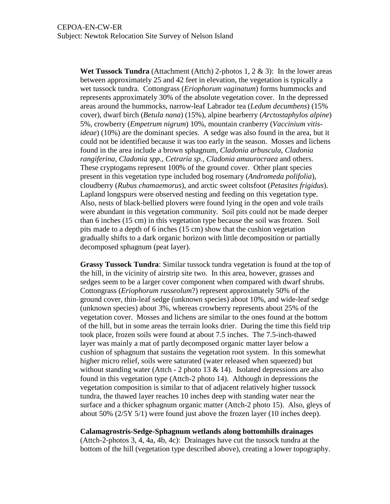**Wet Tussock Tundra** (Attachment (Attch) 2-photos 1, 2 & 3): In the lower areas between approximately 25 and 42 feet in elevation, the vegetation is typically a wet tussock tundra. Cottongrass (*Eriophorum vaginatum*) forms hummocks and represents approximately 30% of the absolute vegetation cover. In the depressed areas around the hummocks, narrow-leaf Labrador tea (*Ledum decumbens*) (15% cover), dwarf birch (*Betula nana*) (15%), alpine bearberry (*Arctostaphylos alpine*) 5%, crowberry (*Empetrum nigrum*) 10%, mountain cranberry (*Vaccinium vitisideae*) (10%) are the dominant species. A sedge was also found in the area, but it could not be identified because it was too early in the season. Mosses and lichens found in the area include a brown sphagnum, *Cladonia arbuscula, Cladonia rangiferina, Cladonia spp., Cetraria sp., Cladonia amaurocraea* and others. These cryptogams represent 100% of the ground cover. Other plant species present in this vegetation type included bog rosemary (*Andromeda polifolia*), cloudberry (*Rubus chamaemorus*), and arctic sweet coltsfoot (*Petasites frigidus*). Lapland longspurs were observed nesting and feeding on this vegetation type. Also, nests of black-bellied plovers were found lying in the open and vole trails were abundant in this vegetation community. Soil pits could not be made deeper than 6 inches (15 cm) in this vegetation type because the soil was frozen. Soil pits made to a depth of 6 inches (15 cm) show that the cushion vegetation gradually shifts to a dark organic horizon with little decomposition or partially decomposed sphagnum (peat layer).

**Grassy Tussock Tundra**: Similar tussock tundra vegetation is found at the top of the hill, in the vicinity of airstrip site two. In this area, however, grasses and sedges seem to be a larger cover component when compared with dwarf shrubs. Cottongrass (*Eriophorum russeolum*?) represent approximately 50% of the ground cover, thin-leaf sedge (unknown species) about 10%, and wide-leaf sedge (unknown species) about 3%, whereas crowberry represents about 25% of the vegetation cover. Mosses and lichens are similar to the ones found at the bottom of the hill, but in some areas the terrain looks drier. During the time this field trip took place, frozen soils were found at about 7.5 inches. The 7.5-inch-thawed layer was mainly a mat of partly decomposed organic matter layer below a cushion of sphagnum that sustains the vegetation root system. In this somewhat higher micro relief, soils were saturated (water released when squeezed) but without standing water (Attch - 2 photo 13  $&$  14). Isolated depressions are also found in this vegetation type (Attch-2 photo 14). Although in depressions the vegetation composition is similar to that of adjacent relatively higher tussock tundra, the thawed layer reaches 10 inches deep with standing water near the surface and a thicker sphagnum organic matter (Attch-2 photo 15). Also, gleys of about 50%  $(2/5Y 5/1)$  were found just above the frozen layer (10 inches deep).

#### **Calamagrostris-Sedge-Sphagnum wetlands along bottomhills drainages**

(Attch-2-photos 3, 4, 4a, 4b, 4c): Drainages have cut the tussock tundra at the bottom of the hill (vegetation type described above), creating a lower topography.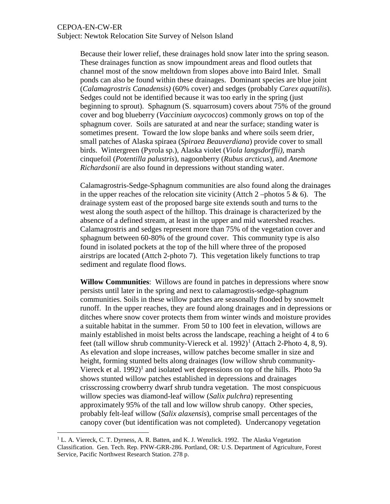Subject: Newtok Relocation Site Survey of Nelson Island

Because their lower relief, these drainages hold snow later into the spring season. These drainages function as snow impoundment areas and flood outlets that channel most of the snow meltdown from slopes above into Baird Inlet. Small ponds can also be found within these drainages. Dominant species are blue joint (*Calamagrostris Canadensis)* (60% cover) and sedges (probably *Carex aquatilis*). Sedges could not be identified because it was too early in the spring (just beginning to sprout). Sphagnum (S. squarrosum) covers about 75% of the ground cover and bog blueberry (*Vaccinium oxycoccos*) commonly grows on top of the sphagnum cover. Soils are saturated at and near the surface; standing water is sometimes present. Toward the low slope banks and where soils seem drier, small patches of Alaska spiraea (*Spiraea Beauverdiana*) provide cover to small birds. Wintergreen (Pyrola sp.), Alaska violet (*Viola langsdorffii),* marsh cinquefoil (*Potentilla palustris*), nagoonberry (*Rubus arcticus*), and *Anemone Richardsonii* are also found in depressions without standing water.

Calamagrostris-Sedge-Sphagnum communities are also found along the drainages in the upper reaches of the relocation site vicinity (Attch 2 –photos 5 & 6). The drainage system east of the proposed barge site extends south and turns to the west along the south aspect of the hilltop. This drainage is characterized by the absence of a defined stream, at least in the upper and mid watershed reaches. Calamagrostris and sedges represent more than 75% of the vegetation cover and sphagnum between 60-80% of the ground cover. This community type is also found in isolated pockets at the top of the hill where three of the proposed airstrips are located (Attch 2-photo 7). This vegetation likely functions to trap sediment and regulate flood flows.

**Willow Communities**: Willows are found in patches in depressions where snow persists until later in the spring and next to calamagrostis-sedge-sphagnum communities. Soils in these willow patches are seasonally flooded by snowmelt runoff. In the upper reaches, they are found along drainages and in depressions or ditches where snow cover protects them from winter winds and moisture provides a suitable habitat in the summer. From 50 to 100 feet in elevation, willows are mainly established in moist belts across the landscape, reaching a height of 4 to 6 feet (tall willow shrub community-Viereck et al.  $1992$  $1992$ <sup>1</sup> (Attach 2-Photo 4, 8, 9). As elevation and slope increases, willow patches become smaller in size and height, forming stunted belts along drainages (low willow shrub community-Viereck et al. 1992)<sup>1</sup> and isolated wet depressions on top of the hills. Photo 9a shows stunted willow patches established in depressions and drainages crisscrossing crowberry dwarf shrub tundra vegetation. The most conspicuous willow species was diamond-leaf willow (*Salix pulchra*) representing approximately 95% of the tall and low willow shrub canopy. Other species, probably felt-leaf willow (*Salix alaxensis*), comprise small percentages of the canopy cover (but identification was not completed). Undercanopy vegetation

<span id="page-9-0"></span> $1^1$  L. A. Viereck, C. T. Dyrness, A. R. Batten, and K. J. Wenzlick. 1992. The Alaska Vegetation Classification. Gen. Tech. Rep. PNW-GRR-286. Portland, OR: U.S. Department of Agriculture, Forest Service, Pacific Northwest Research Station. 278 p.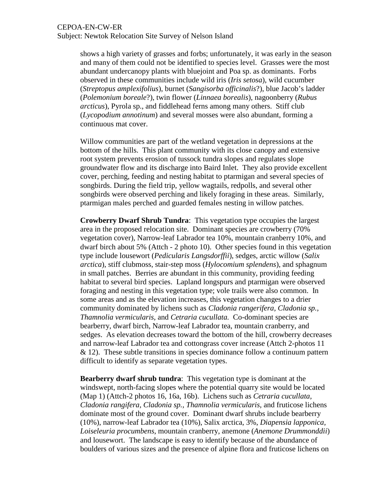Subject: Newtok Relocation Site Survey of Nelson Island

shows a high variety of grasses and forbs; unfortunately, it was early in the season and many of them could not be identified to species level. Grasses were the most abundant undercanopy plants with bluejoint and Poa sp. as dominants. Forbs observed in these communities include wild iris (*Iris setosa*), wild cucumber (*Streptopus amplexifolius*), burnet (*Sangisorba officinalis*?), blue Jacob's ladder (*Polemonium boreale*?), twin flower (*Linnaea borealis*), nagoonberry (*Rubus arcticus*), Pyrola sp., and fiddlehead ferns among many others. Stiff club (*Lycopodium annotinum*) and several mosses were also abundant, forming a continuous mat cover.

Willow communities are part of the wetland vegetation in depressions at the bottom of the hills. This plant community with its close canopy and extensive root system prevents erosion of tussock tundra slopes and regulates slope groundwater flow and its discharge into Baird Inlet. They also provide excellent cover, perching, feeding and nesting habitat to ptarmigan and several species of songbirds. During the field trip, yellow wagtails, redpolls, and several other songbirds were observed perching and likely foraging in these areas. Similarly, ptarmigan males perched and guarded females nesting in willow patches.

**Crowberry Dwarf Shrub Tundra**: This vegetation type occupies the largest area in the proposed relocation site. Dominant species are crowberry (70% vegetation cover), Narrow-leaf Labrador tea 10%, mountain cranberry 10%, and dwarf birch about 5% (Attch - 2 photo 10). Other species found in this vegetation type include lousewort (*Pedicularis Langsdorffii*), sedges, arctic willow (*Salix arctica*), stiff clubmoss, stair-step moss (*Hylocomium splendens*), and sphagnum in small patches. Berries are abundant in this community, providing feeding habitat to several bird species. Lapland longspurs and ptarmigan were observed foraging and nesting in this vegetation type; vole trails were also common. In some areas and as the elevation increases, this vegetation changes to a drier community dominated by lichens such as *Cladonia rangerifera, Cladonia sp., Thamnolia vermicularis,* and *Cetraria cucullata.* Co-dominant species are bearberry, dwarf birch, Narrow-leaf Labrador tea, mountain cranberry, and sedges. As elevation decreases toward the bottom of the hill, crowberry decreases and narrow-leaf Labrador tea and cottongrass cover increase (Attch 2-photos 11  $& 12$ ). These subtle transitions in species dominance follow a continuum pattern difficult to identify as separate vegetation types.

**Bearberry dwarf shrub tundra**: This vegetation type is dominant at the windswept, north-facing slopes where the potential quarry site would be located (Map 1) (Attch-2 photos 16, 16a, 16b). Lichens such as *Cetraria cucullata, Cladonia rangifera, Cladonia sp., Thamnolia vermicularis,* and fruticose lichens dominate most of the ground cover. Dominant dwarf shrubs include bearberry (10%), narrow-leaf Labrador tea (10%), Salix arctica, 3%, *Diapensia lapponica, Loiseleuria procumbens*, mountain cranberry, anemone (*Anemone Drummonddii*) and lousewort. The landscape is easy to identify because of the abundance of boulders of various sizes and the presence of alpine flora and fruticose lichens on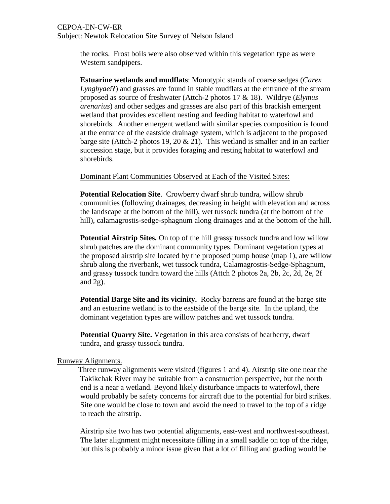Subject: Newtok Relocation Site Survey of Nelson Island

the rocks. Frost boils were also observed within this vegetation type as were Western sandpipers.

**Estuarine wetlands and mudflats**: Monotypic stands of coarse sedges (*Carex Lyngbyaei*?) and grasses are found in stable mudflats at the entrance of the stream proposed as source of freshwater (Attch-2 photos 17 & 18). Wildrye (*Elymus arenarius*) and other sedges and grasses are also part of this brackish emergent wetland that provides excellent nesting and feeding habitat to waterfowl and shorebirds. Another emergent wetland with similar species composition is found at the entrance of the eastside drainage system, which is adjacent to the proposed barge site (Attch-2 photos 19, 20  $\&$  21). This wetland is smaller and in an earlier succession stage, but it provides foraging and resting habitat to waterfowl and shorebirds.

Dominant Plant Communities Observed at Each of the Visited Sites:

**Potential Relocation Site**. Crowberry dwarf shrub tundra, willow shrub communities (following drainages, decreasing in height with elevation and across the landscape at the bottom of the hill), wet tussock tundra (at the bottom of the hill), calamagrostis-sedge-sphagnum along drainages and at the bottom of the hill.

**Potential Airstrip Sites.** On top of the hill grassy tussock tundra and low willow shrub patches are the dominant community types. Dominant vegetation types at the proposed airstrip site located by the proposed pump house (map 1), are willow shrub along the riverbank, wet tussock tundra, Calamagrostis-Sedge-Sphagnum, and grassy tussock tundra toward the hills (Attch 2 photos 2a, 2b, 2c, 2d, 2e, 2f and 2g).

**Potential Barge Site and its vicinity.** Rocky barrens are found at the barge site and an estuarine wetland is to the eastside of the barge site. In the upland, the dominant vegetation types are willow patches and wet tussock tundra.

**Potential Quarry Site.** Vegetation in this area consists of bearberry, dwarf tundra, and grassy tussock tundra.

#### Runway Alignments.

 Three runway alignments were visited (figures 1 and 4). Airstrip site one near the Takikchak River may be suitable from a construction perspective, but the north end is a near a wetland. Beyond likely disturbance impacts to waterfowl, there would probably be safety concerns for aircraft due to the potential for bird strikes. Site one would be close to town and avoid the need to travel to the top of a ridge to reach the airstrip.

Airstrip site two has two potential alignments, east-west and northwest-southeast. The later alignment might necessitate filling in a small saddle on top of the ridge, but this is probably a minor issue given that a lot of filling and grading would be